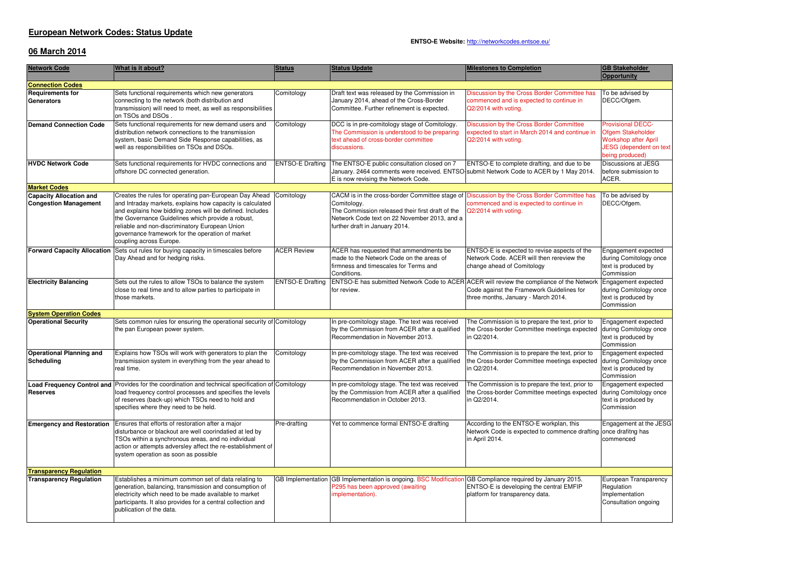### **European Network Codes: Status Update**

#### **ENTSO-E Website:** http://networkcodes.entsoe.eu/

## **06 March 2014**

| <b>Network Code</b>                                            | What is it about?                                                                                                                                                                                                                                                                                                                                                     | <b>Status</b>           | <b>Status Update</b>                                                                                                                                                                                                                             | <b>Milestones to Completion</b>                                                                                              | <b>GB Stakeholder</b><br>Opportunity                                                                                       |
|----------------------------------------------------------------|-----------------------------------------------------------------------------------------------------------------------------------------------------------------------------------------------------------------------------------------------------------------------------------------------------------------------------------------------------------------------|-------------------------|--------------------------------------------------------------------------------------------------------------------------------------------------------------------------------------------------------------------------------------------------|------------------------------------------------------------------------------------------------------------------------------|----------------------------------------------------------------------------------------------------------------------------|
| <b>Connection Codes</b>                                        |                                                                                                                                                                                                                                                                                                                                                                       |                         |                                                                                                                                                                                                                                                  |                                                                                                                              |                                                                                                                            |
| <b>Requirements for</b><br><b>Generators</b>                   | Sets functional requirements which new generators<br>connecting to the network (both distribution and<br>transmission) will need to meet, as well as responsibilities<br>on TSOs and DSOs                                                                                                                                                                             | Comitology              | Draft text was released by the Commission in<br>January 2014, ahead of the Cross-Border<br>Committee. Further refinement is expected.                                                                                                            | Discussion by the Cross Border Committee has<br>commenced and is expected to continue in<br>Q2/2014 with voting.             | To be advised by<br>DECC/Ofgem.                                                                                            |
| Demand Connection Code                                         | Sets functional requirements for new demand users and<br>distribution network connections to the transmission<br>system, basic Demand Side Response capabilities, as<br>well as responsibilities on TSOs and DSOs.                                                                                                                                                    | Comitology              | DCC is in pre-comitology stage of Comitology.<br>The Commission is understood to be preparing<br>text ahead of cross-border committee<br>discussions.                                                                                            | Discussion by the Cross Border Committee<br>expected to start in March 2014 and continue in<br>Q2/2014 with votina.          | <b>Provisional DECC-</b><br>Ofgem Stakeholder<br><b>Workshop after April</b><br>JESG (dependent on text<br>being produced) |
| <b>HVDC Network Code</b>                                       | Sets functional requirements for HVDC connections and<br>offshore DC connected generation.                                                                                                                                                                                                                                                                            | <b>ENTSO-E Drafting</b> | The ENTSO-E public consultation closed on 7<br>January. 2464 comments were received. ENTSO submit Network Code to ACER by 1 May 2014.<br>E is now revising the Network Code.                                                                     | ENTSO-E to complete drafting, and due to be                                                                                  | Discussions at JESG<br>before submission to<br>ACER.                                                                       |
| <b>Market Codes</b>                                            |                                                                                                                                                                                                                                                                                                                                                                       |                         |                                                                                                                                                                                                                                                  |                                                                                                                              |                                                                                                                            |
| <b>Capacity Allocation and</b><br><b>Congestion Management</b> | Creates the rules for operating pan-European Day Ahead<br>and Intraday markets, explains how capacity is calculated<br>and explains how bidding zones will be defined. Includes<br>the Governance Guidelines which provide a robust,<br>reliable and non-discriminatory European Union<br>governance framework for the operation of market<br>coupling across Europe. | Comitology              | CACM is in the cross-border Committee stage of Discussion by the Cross Border Committee has<br>Comitology.<br>The Commission released their first draft of the<br>Network Code text on 22 November 2013, and a<br>further draft in January 2014. | commenced and is expected to continue in<br>Q2/2014 with voting.                                                             | To be advised by<br>DECC/Ofgem.                                                                                            |
| <b>Forward Capacity Allocation</b>                             | Sets out rules for buying capacity in timescales before<br>Day Ahead and for hedging risks.                                                                                                                                                                                                                                                                           | <b>ACER Review</b>      | ACER has requested that ammendments be<br>made to the Network Code on the areas of<br>firmness and timescales for Terms and<br>Conditions.                                                                                                       | ENTSO-E is expected to revise aspects of the<br>Network Code. ACER will then rereview the<br>change ahead of Comitology      | Engagement expected<br>during Comitology once<br>text is produced by<br>Commission                                         |
| <b>Electricity Balancing</b>                                   | Sets out the rules to allow TSOs to balance the system<br>close to real time and to allow parties to participate in<br>those markets.                                                                                                                                                                                                                                 | <b>ENTSO-E Drafting</b> | ENTSO-E has submitted Network Code to ACER ACER will review the compliance of the Network<br>for review.                                                                                                                                         | Code against the Framework Guidelines for<br>three months, January - March 2014.                                             | Engagement expected<br>during Comitology once<br>text is produced by<br>Commission                                         |
| <b>System Operation Codes</b>                                  |                                                                                                                                                                                                                                                                                                                                                                       |                         |                                                                                                                                                                                                                                                  |                                                                                                                              |                                                                                                                            |
| <b>Operational Security</b>                                    | Sets common rules for ensuring the operational security of Comitology<br>the pan European power system.                                                                                                                                                                                                                                                               |                         | In pre-comitology stage. The text was received<br>by the Commission from ACER after a qualified<br>Recommendation in November 2013.                                                                                                              | The Commission is to prepare the text, prior to<br>the Cross-border Committee meetings expected<br>in Q2/2014.               | Engagement expected<br>during Comitology once<br>text is produced by<br>Commission                                         |
| <b>Operational Planning and</b><br>Scheduling                  | Explains how TSOs will work with generators to plan the<br>transmission system in everything from the year ahead to<br>real time.                                                                                                                                                                                                                                     | Comitology              | In pre-comitology stage. The text was received<br>by the Commission from ACER after a qualified<br>Recommendation in November 2013.                                                                                                              | The Commission is to prepare the text, prior to<br>the Cross-border Committee meetings expected<br>in Q2/2014.               | Engagement expected<br>during Comitology once<br>text is produced by<br>Commission                                         |
| <b>Reserves</b>                                                | <b>Load Frequency Control and Provides for the coordination and technical specification of Comitology</b><br>load frequency control processes and specifies the levels<br>of reserves (back-up) which TSOs need to hold and<br>specifies where they need to be held.                                                                                                  |                         | In pre-comitology stage. The text was received<br>by the Commission from ACER after a qualified<br>Recommendation in October 2013.                                                                                                               | The Commission is to prepare the text, prior to<br>the Cross-border Committee meetings expected<br>in Q2/2014.               | <b>Engagement expected</b><br>during Comitology once<br>text is produced by<br>Commission                                  |
|                                                                | <b>Emergency and Restoration</b> Ensures that efforts of restoration after a major<br>disturbance or blackout are well coorindatied at led by<br>TSOs within a synchronous areas, and no individual<br>action or attempts adversley affect the re-establishment of<br>system operation as soon as possible                                                            | Pre-drafting            | Yet to commence formal ENTSO-E drafting                                                                                                                                                                                                          | According to the ENTSO-E workplan, this<br>Network Code is expected to commence drafting once drafitng has<br>in April 2014. | Engagement at the JESG<br>commenced                                                                                        |
| <b>Transparency Requlation</b>                                 |                                                                                                                                                                                                                                                                                                                                                                       |                         |                                                                                                                                                                                                                                                  |                                                                                                                              |                                                                                                                            |
| <b>Transparency Regulation</b>                                 | Establishes a minimum common set of data relating to<br>generation, balancing, transmission and consumption of<br>electricity which need to be made available to market<br>participants. It also provides for a central collection and<br>publication of the data.                                                                                                    |                         | GB Implementation GB Implementation is ongoing. BSC Modification GB Compliance required by January 2015.<br>P295 has been approved (awaiting<br>mplementation).                                                                                  | ENTSO-E is developing the central EMFIP<br>platform for transparency data.                                                   | European Transparency<br>Regulation<br>Implementation<br>Consultation ongoing                                              |